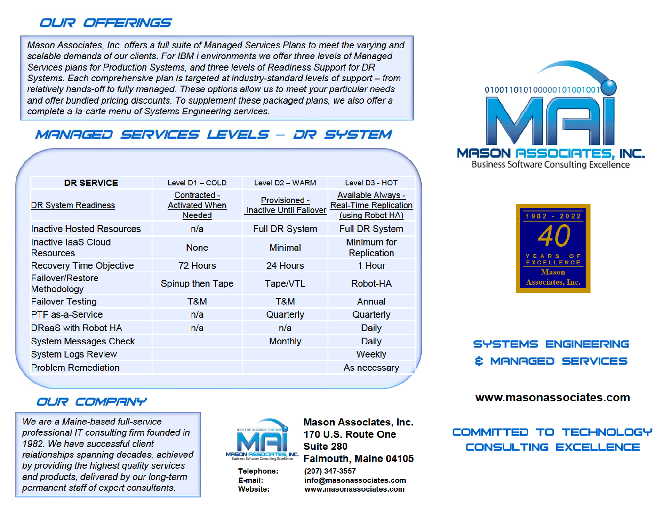### OUR OFFERINGS

Mason Associates, Inc. offers a full suite of Managed Services Plans to meet the varying and scalable demands of our clients. For IBM i environments we offer three levels of Managed Services plans for Production Systems, and three levels of Readiness Support for DR Systems. Each comprehensive plan is targeted at industry-standard levels of support – from relatively hands-off to fully managed. These options allow us to meet your particular needs and offer bundled pricing discounts. To supplement these packaged plans, we also offer a complete a-la-carte menu of Systems Engineering services.

# **MANAGED SERVICES LEVELS - DR SYSTEM**

| <b>DR SERVICE</b>                       | Level D1 - COLD                                 | Level D <sub>2</sub> - WARM                     | Level D <sub>3</sub> - HOT                                             |
|-----------------------------------------|-------------------------------------------------|-------------------------------------------------|------------------------------------------------------------------------|
| <b>DR System Readiness</b>              | Contracted -<br><b>Activated When</b><br>Needed | Provisioned -<br><b>Inactive Until Failover</b> | Available Always -<br><b>Real-Time Replication</b><br>(using Robot HA) |
| <b>Inactive Hosted Resources</b>        | n/a                                             | <b>Full DR System</b>                           | <b>Full DR System</b>                                                  |
| Inactive laaS Cloud<br><b>Resources</b> | <b>None</b>                                     | <b>Minimal</b>                                  | Minimum for<br>Replication                                             |
| Recovery Time Objective                 | 72 Hours                                        | 24 Hours                                        | 1 Hour                                                                 |
| Failover/Restore<br>Methodology         | Spinup then Tape                                | Tape/VTL                                        | Robot-HA                                                               |
| <b>Failover Testing</b>                 | T&M                                             | T&M                                             | Annual                                                                 |
| PTF as-a-Service                        | n/a                                             | Quarterly                                       | Quarterly                                                              |
| DRaaS with Robot HA                     | n/a                                             | n/a                                             | Daily                                                                  |
| <b>System Messages Check</b>            |                                                 | <b>Monthly</b>                                  | Daily                                                                  |
| <b>System Logs Review</b>               |                                                 |                                                 | Weekly                                                                 |
| <b>Problem Remediation</b>              |                                                 |                                                 | As necessary                                                           |

#### OUR COMPANY

We are a Maine-based full-service professional IT consulting firm founded in 1982. We have successful client relationships spanning decades, achieved by providing the highest quality services and products, delivered by our long-term permanent staff of expert consultants.



**Telephone:** 

E-mail:

**Website:** 

**Mason Associates, Inc.** 170 U.S. Route One **Suite 280** Falmouth, Maine 04105 (207) 347-3557

info@masonassociates.com www.masonassociates.com





SYSTEMS ENGINEERING **È MANAGED SERVICES** 

www.masonassociates.com

COMMITTED TO TECHNOLOGY **CONSULTING EXCELLENCE**